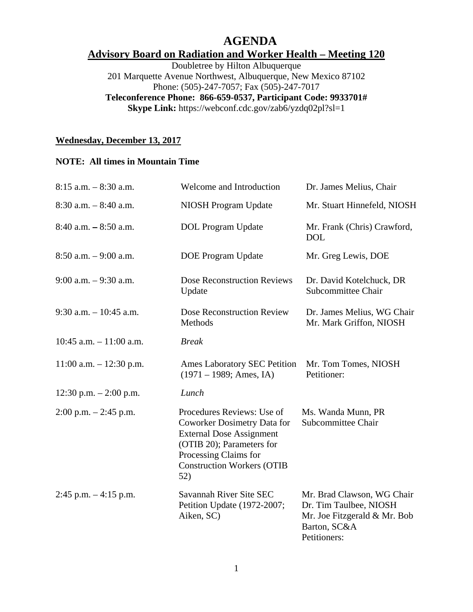# **AGENDA Advisory Board on Radiation and Worker Health – Meeting 120**

Doubletree by Hilton Albuquerque 201 Marquette Avenue Northwest, Albuquerque, New Mexico 87102 Phone: (505)-247-7057; Fax (505)-247-7017

**Teleconference Phone: 866-659-0537, Participant Code: 9933701#** 

**Skype Link:** https://webconf.cdc.gov/zab6/yzdq02pl?sl=1

## **Wednesday, December 13, 2017**

#### **NOTE: All times in Mountain Time**

| $8:15$ a.m. $-8:30$ a.m.   | Welcome and Introduction                                                                                                                                                                       | Dr. James Melius, Chair                                                                                              |
|----------------------------|------------------------------------------------------------------------------------------------------------------------------------------------------------------------------------------------|----------------------------------------------------------------------------------------------------------------------|
| $8:30$ a.m. $-8:40$ a.m.   | NIOSH Program Update                                                                                                                                                                           | Mr. Stuart Hinnefeld, NIOSH                                                                                          |
| $8:40$ a.m. $-8:50$ a.m.   | <b>DOL</b> Program Update                                                                                                                                                                      | Mr. Frank (Chris) Crawford,<br><b>DOL</b>                                                                            |
| $8:50$ a.m. $-9:00$ a.m.   | <b>DOE</b> Program Update                                                                                                                                                                      | Mr. Greg Lewis, DOE                                                                                                  |
| $9:00$ a.m. $-9:30$ a.m.   | <b>Dose Reconstruction Reviews</b><br>Update                                                                                                                                                   | Dr. David Kotelchuck, DR<br>Subcommittee Chair                                                                       |
| $9:30$ a.m. $-10:45$ a.m.  | Dose Reconstruction Review<br>Methods                                                                                                                                                          | Dr. James Melius, WG Chair<br>Mr. Mark Griffon, NIOSH                                                                |
| 10:45 a.m. $- 11:00$ a.m.  | <b>Break</b>                                                                                                                                                                                   |                                                                                                                      |
| $11:00$ a.m. $-12:30$ p.m. | <b>Ames Laboratory SEC Petition</b><br>$(1971 - 1989;$ Ames, IA)                                                                                                                               | Mr. Tom Tomes, NIOSH<br>Petitioner:                                                                                  |
| 12:30 p.m. $- 2:00$ p.m.   | Lunch                                                                                                                                                                                          |                                                                                                                      |
| $2:00$ p.m. $-2:45$ p.m.   | Procedures Reviews: Use of<br>Coworker Dosimetry Data for<br><b>External Dose Assignment</b><br>(OTIB 20); Parameters for<br>Processing Claims for<br><b>Construction Workers (OTIB</b><br>52) | Ms. Wanda Munn, PR<br>Subcommittee Chair                                                                             |
| $2:45$ p.m. $-4:15$ p.m.   | Savannah River Site SEC<br>Petition Update (1972-2007;<br>Aiken, SC)                                                                                                                           | Mr. Brad Clawson, WG Chair<br>Dr. Tim Taulbee, NIOSH<br>Mr. Joe Fitzgerald & Mr. Bob<br>Barton, SC&A<br>Petitioners: |